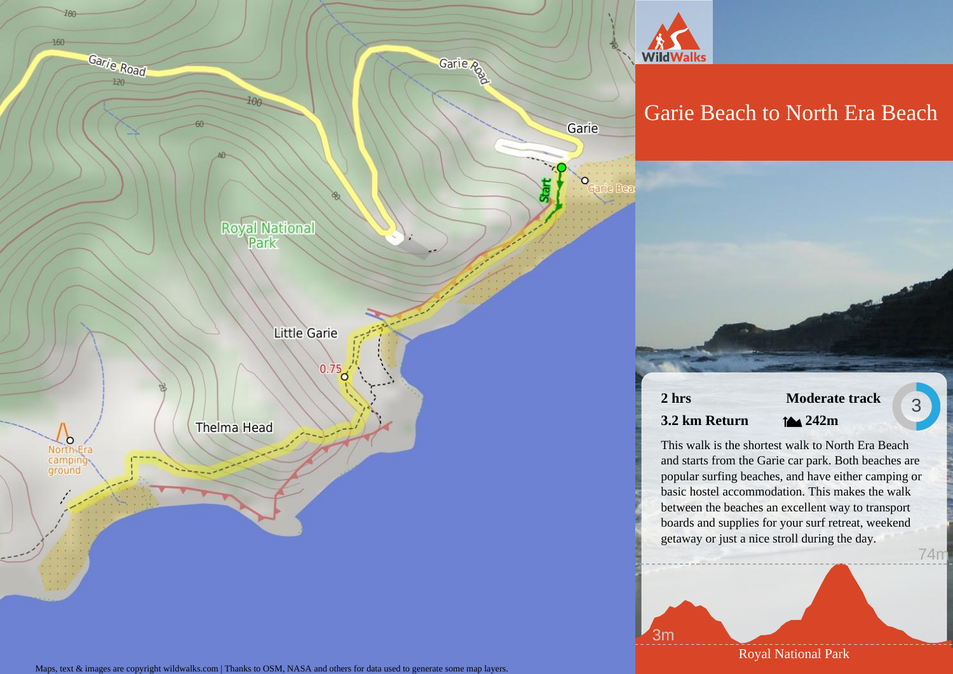

Maps, text & images are copyright wildwalks.com | Thanks to OSM, NASA and others for data used to generate some map layers.

Royal National Park